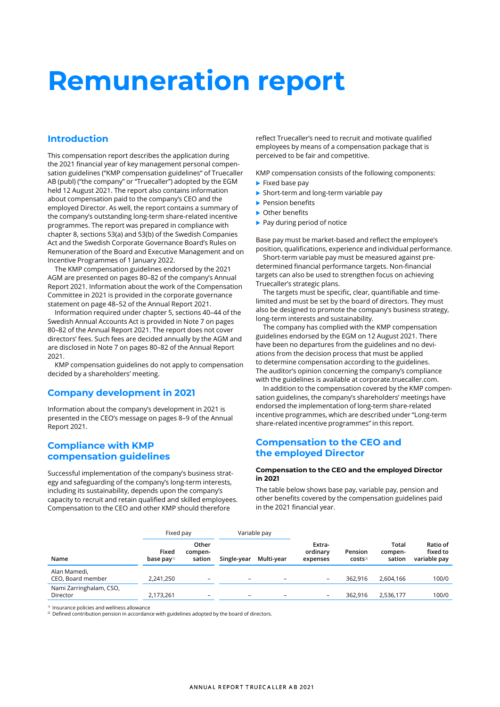# **Remuneration report**

# **Introduction**

This compensation report describes the application during the 2021 financial year of key management personal compensation guidelines ("KMP compensation guidelines" of Truecaller AB (publ) ("the company" or "Truecaller") adopted by the EGM held 12 August 2021. The report also contains information about compensation paid to the company's CEO and the employed Director. As well, the report contains a summary of the company's outstanding long-term share-related incentive programmes. The report was prepared in compliance with chapter 8, sections 53(a) and 53(b) of the Swedish Companies Act and the Swedish Corporate Governance Board's Rules on Remuneration of the Board and Executive Management and on Incentive Programmes of 1 January 2022.

The KMP compensation guidelines endorsed by the 2021 AGM are presented on pages 80–82 of the company's Annual Report 2021. Information about the work of the Compensation Committee in 2021 is provided in the corporate governance statement on page 48–52 of the Annual Report 2021.

Information required under chapter 5, sections 40–44 of the Swedish Annual Accounts Act is provided in Note 7 on pages 80–82 of the Annual Report 2021. The report does not cover directors' fees. Such fees are decided annually by the AGM and are disclosed in Note 7 on pages 80–82 of the Annual Report 2021.

KMP compensation guidelines do not apply to compensation decided by a shareholders' meeting.

# **Company development in 2021**

Information about the company's development in 2021 is presented in the CEO's message on pages 8–9 of the Annual Report 2021.

# **Compliance with KMP compensation guidelines**

Successful implementation of the company's business strategy and safeguarding of the company's long-term interests, including its sustainability, depends upon the company's capacity to recruit and retain qualified and skilled employees. Compensation to the CEO and other KMP should therefore

reflect Truecaller's need to recruit and motivate qualified employees by means of a compensation package that is perceived to be fair and competitive.

KMP compensation consists of the following components:

- $\blacktriangleright$  Fixed base pay
- Short-term and long-term variable pay
- Pension benefits
- Other benefits
- $\blacktriangleright$  Pay during period of notice

Base pay must be market-based and reflect the employee's position, qualifications, experience and individual performance.

Short-term variable pay must be measured against pre-determined financial performance targets. Non-financial targets can also be used to strengthen focus on achieving Truecaller's strategic plans.

The targets must be specific, clear, quantifiable and time-limited and must be set by the board of directors. They must also be designed to promote the company's business strategy, long-term interests and sustainability.

The company has complied with the KMP compensation guidelines endorsed by the EGM on 12 August 2021. There have been no departures from the guidelines and no deviations from the decision process that must be applied to determine compensation according to the guidelines. The auditor's opinion concerning the company's compliance with the guidelines is available at corporate.truecaller.com.

In addition to the compensation covered by the KMP compensation guidelines, the company's shareholders' meetings have endorsed the implementation of long-term share-related incentive programmes, which are described under "Long-term share-related incentive programmes" in this report.

## **Compensation to the CEO and the employed Director**

## **Compensation to the CEO and the employed Director in 2021**

The table below shows base pay, variable pay, pension and other benefits covered by the compensation guidelines paid in the 2021 financial year.

| Fixed pay                           |                                   |                            | Variable pay             |            |                                |                                |                            |                                      |
|-------------------------------------|-----------------------------------|----------------------------|--------------------------|------------|--------------------------------|--------------------------------|----------------------------|--------------------------------------|
| Name                                | Fixed<br>base $pay$ <sup>1)</sup> | Other<br>compen-<br>sation | Single-year              | Multi-year | Extra-<br>ordinary<br>expenses | Pension<br>COStS <sup>2)</sup> | Total<br>compen-<br>sation | Ratio of<br>fixed to<br>variable pay |
| Alan Mamedi,<br>CEO, Board member   | 2,241,250                         | -                          | $\overline{\phantom{0}}$ | -          |                                | 362.916                        | 2,604,166                  | 100/0                                |
| Nami Zarringhalam, CSO,<br>Director | 2,173,261                         |                            | -                        |            |                                | 362,916                        | 2,536,177                  | 100/0                                |

1) Insurance policies and wellness allowance

<sup>2)</sup> Defined contribution pension in accordance with guidelines adopted by the board of directors.